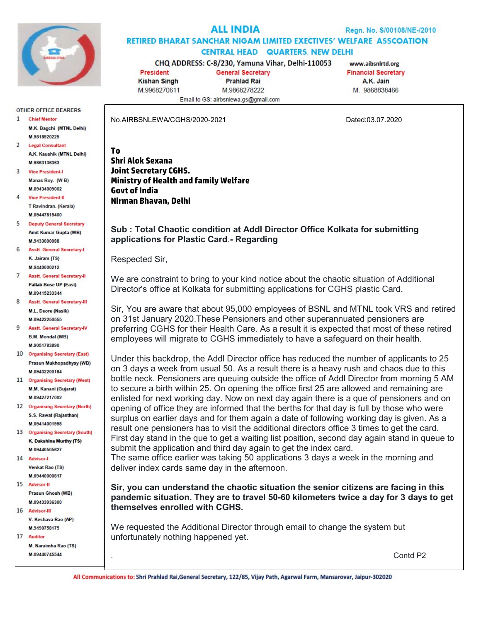

# **ALL INDIA**

### **RETIRED BHARAT SANCHAR NIGAM LIMITED EXECTIVES' WELFARE ASSCOATION CENTRAL HEAD QUARTERS, NEW DELHI**

CHQ ADDRESS: C-8/230, Yamuna Vihar, Delhi-110053

**President Kishan Singh** M.9968270611

**General Secretary Prahlad Rai** M9868278222 Email to GS: airbsnlewa.gs@gmail.com

www.aibsnlrtd.org **Financial Secretary** A.K. Jain M 9868838466

No.AIRBSNLEWA/CGHS/2020-2021 Dated:03.07.2020

#### M 9818920225 **Legal Consultant** A.K. Kaushik (MTNL Delhi) M 9863136363

M.K. Bagchi (MTNL Delhi)

**OTHER OFFICE BEARERS** 

**Chief Mentor** 

 $\mathbf{1}$ 

- $\mathbf{R}$ **Vice President-I** Manas Roy, (W B) M.09434009002
- **Vice President-II** T Ravindran (Kerala) **M 09447815400**
- 5 **Deputy General Secretary** Amit Kumar Gupta (WB) **M 9433000088**
- 6 Asstf General Secretary-K. Jairam (TS) M.9440000212
- **Asstt. General Secretary-II** Pallab Bose UP (East) M09415233344
- 8 Asstt. General Secretary-III M.L. Deore (Nasik) M 09422250555
- $\mathbf{Q}$ **Asstt. General Secretary-IV B.M. Mondal (WB)** M 9051783890
- 10 Organising Secretary (East) Prasun Mukhopadhyay (WB) M.09432200184
- 11 Organising Secretary (West) M.M. Kanani (Gujarat) M.09427217002
- 12 Organising Secretary (North) S.S. Rawat (Rajasthan) M.09414001998
- 13 Organising Secretary (South) K. Dakshina Murthy (TS) M.09440505627
- 14 Advisor-**Venkat Rao (TS)** M.09440000817
- 15 Advisor-II Prasun Ghosh (WB) M 09433936300
- 16 Advisor-III V. Keshava Rao (AP) M.9490758175
- 17 Auditor M. Naraimha Rao (TS)

M 09440745544

## To Shri Alok Sexana Joint Secretary CGHS. Ministry of Health and family Welfare Govt of India Nirman Bhavan, Delhi

## Sub : Total Chaotic condition at Addl Director Office Kolkata for submitting applications for Plastic Card.- Regarding

Respected Sir,

We are constraint to bring to your kind notice about the chaotic situation of Additional Director's office at Kolkata for submitting applications for CGHS plastic Card.

Sir, You are aware that about 95,000 employees of BSNL and MTNL took VRS and retired on 31st January 2020.These Pensioners and other superannuated pensioners are preferring CGHS for their Health Care. As a result it is expected that most of these retired employees will migrate to CGHS immediately to have a safeguard on their health.

Under this backdrop, the Addl Director office has reduced the number of applicants to 25 on 3 days a week from usual 50. As a result there is a heavy rush and chaos due to this bottle neck. Pensioners are queuing outside the office of Addl Director from morning 5 AM to secure a birth within 25. On opening the office first 25 are allowed and remaining are enlisted for next working day. Now on next day again there is a que of pensioners and on opening of office they are informed that the berths for that day is full by those who were surplus on earlier days and for them again a date of following working day is given. As a result one pensioners has to visit the additional directors office 3 times to get the card. First day stand in the que to get a waiting list position, second day again stand in queue to submit the application and third day again to get the index card.

The same office earlier was taking 50 applications 3 days a week in the morning and deliver index cards same day in the afternoon.

Sir, you can understand the chaotic situation the senior citizens are facing in this pandemic situation. They are to travel 50-60 kilometers twice a day for 3 days to get themselves enrolled with CGHS.

We requested the Additional Director through email to change the system but unfortunately nothing happened yet.

. Contd P2